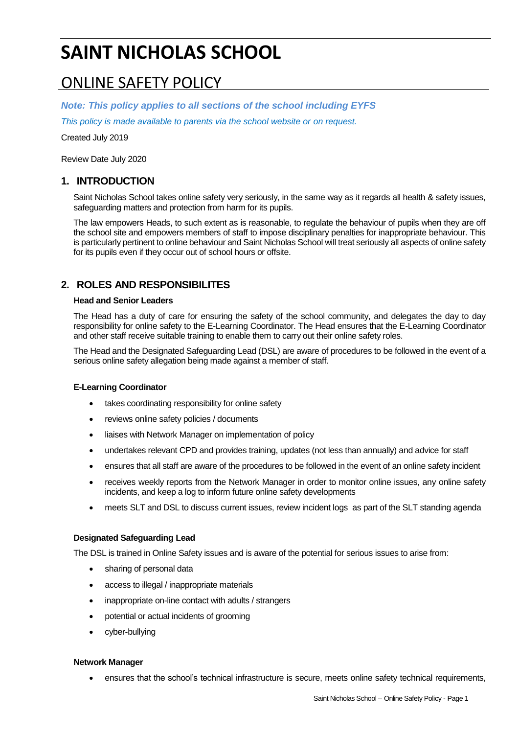# **SAINT NICHOLAS SCHOOL**

## ONLINE SAFETY POLICY

*Note: This policy applies to all sections of the school including EYFS*

*This policy is made available to parents via the school website or on request.*

Created July 2019

Review Date July 2020

## **1. INTRODUCTION**

Saint Nicholas School takes online safety very seriously, in the same way as it regards all health & safety issues, safeguarding matters and protection from harm for its pupils.

The law empowers Heads, to such extent as is reasonable, to regulate the behaviour of pupils when they are off the school site and empowers members of staff to impose disciplinary penalties for inappropriate behaviour. This is particularly pertinent to online behaviour and Saint Nicholas School will treat seriously all aspects of online safety for its pupils even if they occur out of school hours or offsite.

## **2. ROLES AND RESPONSIBILITES**

#### **Head and Senior Leaders**

The Head has a duty of care for ensuring the safety of the school community, and delegates the day to day responsibility for online safety to the E-Learning Coordinator. The Head ensures that the E-Learning Coordinator and other staff receive suitable training to enable them to carry out their online safety roles.

The Head and the Designated Safeguarding Lead (DSL) are aware of procedures to be followed in the event of a serious online safety allegation being made against a member of staff.

#### **E-Learning Coordinator**

- takes coordinating responsibility for online safety
- reviews online safety policies / documents
- liaises with Network Manager on implementation of policy
- undertakes relevant CPD and provides training, updates (not less than annually) and advice for staff
- ensures that all staff are aware of the procedures to be followed in the event of an online safety incident
- receives weekly reports from the Network Manager in order to monitor online issues, any online safety incidents, and keep a log to inform future online safety developments
- meets SLT and DSL to discuss current issues, review incident logs as part of the SLT standing agenda

#### **Designated Safeguarding Lead**

The DSL is trained in Online Safety issues and is aware of the potential for serious issues to arise from:

- sharing of personal data
- access to illegal / inappropriate materials
- inappropriate on-line contact with adults / strangers
- potential or actual incidents of grooming
- cyber-bullying

#### **Network Manager**

ensures that the school's technical infrastructure is secure, meets online safety technical requirements,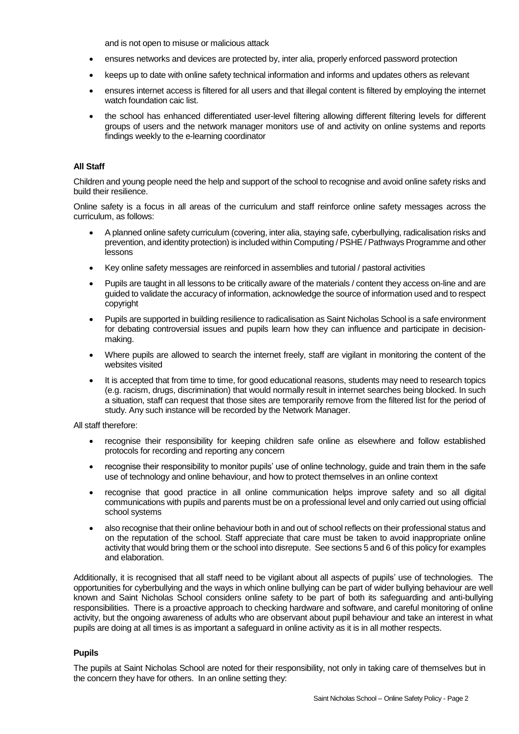and is not open to misuse or malicious attack

- ensures networks and devices are protected by, inter alia, properly enforced password protection
- keeps up to date with online safety technical information and informs and updates others as relevant
- ensures internet access is filtered for all users and that illegal content is filtered by employing the internet watch foundation caic list.
- the school has enhanced differentiated user-level filtering allowing different filtering levels for different groups of users and the network manager monitors use of and activity on online systems and reports findings weekly to the e-learning coordinator

#### **All Staff**

Children and young people need the help and support of the school to recognise and avoid online safety risks and build their resilience.

Online safety is a focus in all areas of the curriculum and staff reinforce online safety messages across the curriculum, as follows:

- A planned online safety curriculum (covering, inter alia, staying safe, cyberbullying, radicalisation risks and prevention, and identity protection) is included within Computing / PSHE / Pathways Programme and other lessons
- Key online safety messages are reinforced in assemblies and tutorial / pastoral activities
- Pupils are taught in all lessons to be critically aware of the materials / content they access on-line and are guided to validate the accuracy of information, acknowledge the source of information used and to respect copyright
- Pupils are supported in building resilience to radicalisation as Saint Nicholas School is a safe environment for debating controversial issues and pupils learn how they can influence and participate in decisionmaking.
- Where pupils are allowed to search the internet freely, staff are vigilant in monitoring the content of the websites visited
- It is accepted that from time to time, for good educational reasons, students may need to research topics (e.g. racism, drugs, discrimination) that would normally result in internet searches being blocked. In such a situation, staff can request that those sites are temporarily remove from the filtered list for the period of study. Any such instance will be recorded by the Network Manager.

All staff therefore:

- recognise their responsibility for keeping children safe online as elsewhere and follow established protocols for recording and reporting any concern
- recognise their responsibility to monitor pupils' use of online technology, guide and train them in the safe use of technology and online behaviour, and how to protect themselves in an online context
- recognise that good practice in all online communication helps improve safety and so all digital communications with pupils and parents must be on a professional level and only carried out using official school systems
- also recognise that their online behaviour both in and out of school reflects on their professional status and on the reputation of the school. Staff appreciate that care must be taken to avoid inappropriate online activity that would bring them or the school into disrepute. See sections 5 and 6 of this policy for examples and elaboration.

Additionally, it is recognised that all staff need to be vigilant about all aspects of pupils' use of technologies. The opportunities for cyberbullying and the ways in which online bullying can be part of wider bullying behaviour are well known and Saint Nicholas School considers online safety to be part of both its safeguarding and anti-bullying responsibilities. There is a proactive approach to checking hardware and software, and careful monitoring of online activity, but the ongoing awareness of adults who are observant about pupil behaviour and take an interest in what pupils are doing at all times is as important a safeguard in online activity as it is in all mother respects.

#### **Pupils**

The pupils at Saint Nicholas School are noted for their responsibility, not only in taking care of themselves but in the concern they have for others. In an online setting they: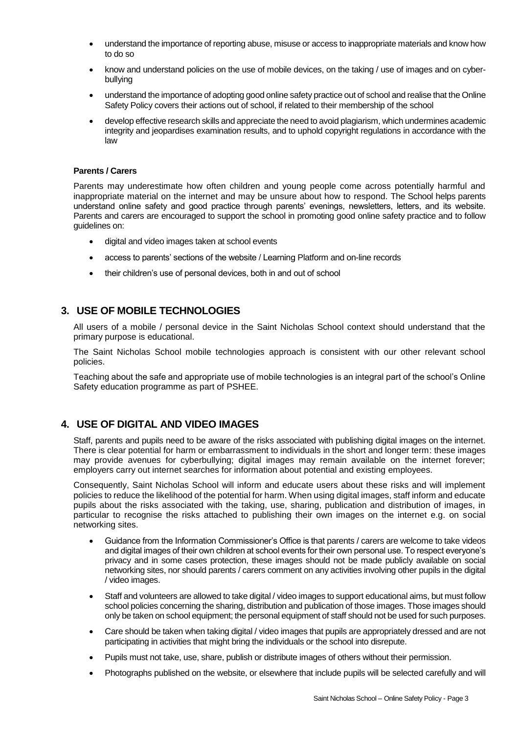- understand the importance of reporting abuse, misuse or access to inappropriate materials and know how to do so
- know and understand policies on the use of mobile devices, on the taking / use of images and on cyberbullying
- understand the importance of adopting good online safety practice out of school and realise that the Online Safety Policy covers their actions out of school, if related to their membership of the school
- develop effective research skills and appreciate the need to avoid plagiarism, which undermines academic integrity and jeopardises examination results, and to uphold copyright regulations in accordance with the law

#### **Parents / Carers**

Parents may underestimate how often children and young people come across potentially harmful and inappropriate material on the internet and may be unsure about how to respond. The School helps parents understand online safety and good practice through parents' evenings, newsletters, letters, and its website. Parents and carers are encouraged to support the school in promoting good online safety practice and to follow guidelines on:

- digital and video images taken at school events
- access to parents' sections of the website / Learning Platform and on-line records
- their children's use of personal devices, both in and out of school

### **3. USE OF MOBILE TECHNOLOGIES**

All users of a mobile / personal device in the Saint Nicholas School context should understand that the primary purpose is educational.

The Saint Nicholas School mobile technologies approach is consistent with our other relevant school policies.

Teaching about the safe and appropriate use of mobile technologies is an integral part of the school's Online Safety education programme as part of PSHEE.

## **4. USE OF DIGITAL AND VIDEO IMAGES**

Staff, parents and pupils need to be aware of the risks associated with publishing digital images on the internet. There is clear potential for harm or embarrassment to individuals in the short and longer term: these images may provide avenues for cyberbullying; digital images may remain available on the internet forever; employers carry out internet searches for information about potential and existing employees.

Consequently, Saint Nicholas School will inform and educate users about these risks and will implement policies to reduce the likelihood of the potential for harm. When using digital images, staff inform and educate pupils about the risks associated with the taking, use, sharing, publication and distribution of images, in particular to recognise the risks attached to publishing their own images on the internet e.g. on social networking sites.

- Guidance from the Information Commissioner's Office is that parents / carers are welcome to take videos and digital images of their own children at school events for their own personal use. To respect everyone's privacy and in some cases protection, these images should not be made publicly available on social networking sites, nor should parents / carers comment on any activities involving other pupils in the digital / video images.
- Staff and volunteers are allowed to take digital / video images to support educational aims, but must follow school policies concerning the sharing, distribution and publication of those images. Those images should only be taken on school equipment; the personal equipment of staff should not be used for such purposes.
- Care should be taken when taking digital / video images that pupils are appropriately dressed and are not participating in activities that might bring the individuals or the school into disrepute.
- Pupils must not take, use, share, publish or distribute images of others without their permission.
- Photographs published on the website, or elsewhere that include pupils will be selected carefully and will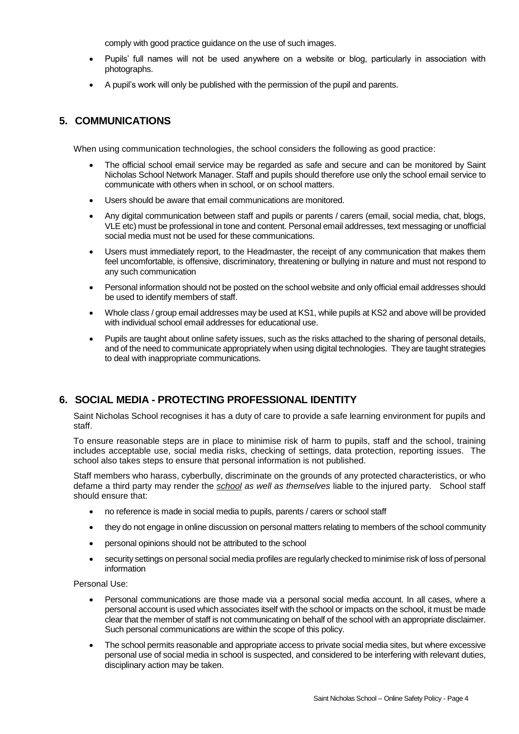comply with good practice guidance on the use of such images.

- Pupils' full names will not be used anywhere on a website or blog, particularly in association with photographs.
- A pupil's work will only be published with the permission of the pupil and parents.

## **5. COMMUNICATIONS**

When using communication technologies, the school considers the following as good practice:

- The official school email service may be regarded as safe and secure and can be monitored by Saint Nicholas School Network Manager. Staff and pupils should therefore use only the school email service to communicate with others when in school, or on school matters.
- Users should be aware that email communications are monitored.
- Any digital communication between staff and pupils or parents / carers (email, social media, chat, blogs, VLE etc) must be professional in tone and content. Personal email addresses, text messaging or unofficial social media must not be used for these communications.
- Users must immediately report, to the Headmaster, the receipt of any communication that makes them feel uncomfortable, is offensive, discriminatory, threatening or bullying in nature and must not respond to any such communication
- Personal information should not be posted on the school website and only official email addresses should be used to identify members of staff.
- Whole class / group email addresses may be used at KS1, while pupils at KS2 and above will be provided with individual school email addresses for educational use.
- Pupils are taught about online safety issues, such as the risks attached to the sharing of personal details, and of the need to communicate appropriately when using digital technologies. They are taught strategies to deal with inappropriate communications.

## **6. SOCIAL MEDIA - PROTECTING PROFESSIONAL IDENTITY**

Saint Nicholas School recognises it has a duty of care to provide a safe learning environment for pupils and staff.

To ensure reasonable steps are in place to minimise risk of harm to pupils, staff and the school, training includes acceptable use, social media risks, checking of settings, data protection, reporting issues. The school also takes steps to ensure that personal information is not published.

Staff members who harass, cyberbully, discriminate on the grounds of any protected characteristics, or who defame a third party may render the *school as well as themselves* liable to the injured party. School staff should ensure that:

- no reference is made in social media to pupils, parents / carers or school staff
- they do not engage in online discussion on personal matters relating to members of the school community
- personal opinions should not be attributed to the school
- security settings on personal social media profiles are regularly checked to minimise risk of loss of personal information

Personal Use:

- Personal communications are those made via a personal social media account. In all cases, where a personal account is used which associates itself with the school or impacts on the school, it must be made clear that the member of staff is not communicating on behalf of the school with an appropriate disclaimer. Such personal communications are within the scope of this policy.
- The school permits reasonable and appropriate access to private social media sites, but where excessive personal use of social media in school is suspected, and considered to be interfering with relevant duties, disciplinary action may be taken.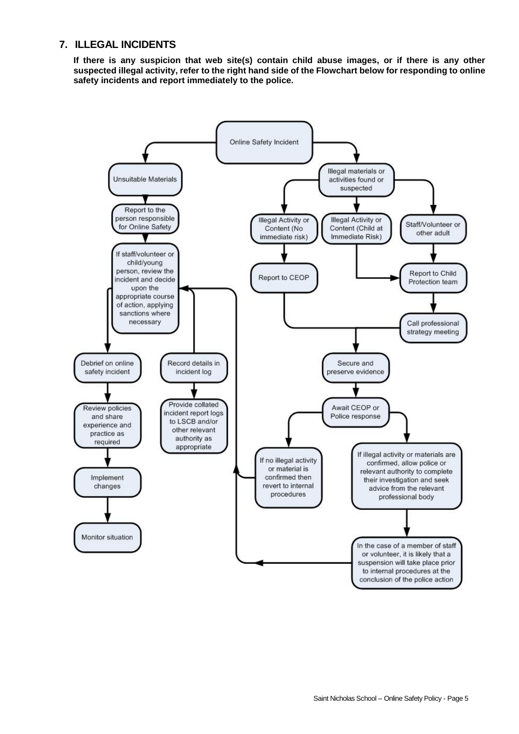## **7. ILLEGAL INCIDENTS**

**If there is any suspicion that web site(s) contain child abuse images, or if there is any other suspected illegal activity, refer to the right hand side of the Flowchart below for responding to online safety incidents and report immediately to the police.**